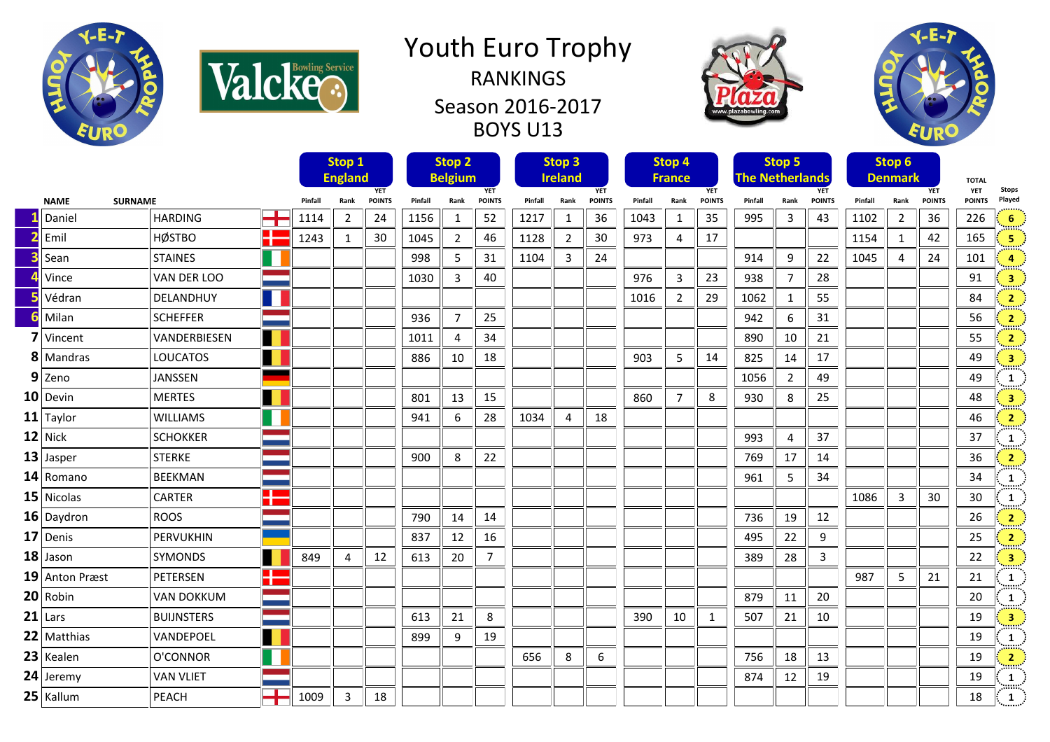

Valcke.

## Youth Euro Trophy RANKINGS Season 2016-2017 BOYS U13





|                               |                |                   |                              |      | Stop 1         |                |      | Stop <sub>2</sub> |                              |      | Stop <sub>3</sub> |                             |      | Stop 4         |                                      |      | Stop 5         |                              | Stop 6 |                |                     |              |                         |
|-------------------------------|----------------|-------------------|------------------------------|------|----------------|----------------|------|-------------------|------------------------------|------|-------------------|-----------------------------|------|----------------|--------------------------------------|------|----------------|------------------------------|--------|----------------|---------------------|--------------|-------------------------|
| <b>NAME</b><br><b>SURNAME</b> |                |                   | <b>England</b><br><b>YET</b> |      |                | <b>Belgium</b> |      | <b>YET</b>        | <b>Ireland</b><br><b>YET</b> |      |                   | <b>France</b><br><b>YET</b> |      |                | <b>The Netherlands</b><br><b>YET</b> |      |                | <b>Denmark</b><br><b>YET</b> |        |                | <b>TOTAL</b><br>YET | <b>Stops</b> |                         |
|                               |                |                   | Pinfall                      | Rank | <b>POINTS</b>  | Pinfall        | Rank | <b>POINTS</b>     | Pinfall                      | Rank | <b>POINTS</b>     | Pinfall                     | Rank | <b>POINTS</b>  | Pinfall                              | Rank | <b>POINTS</b>  | Pinfall                      | Rank   | <b>POINTS</b>  | <b>POINTS</b>       | Played       |                         |
|                               | Daniel         | <b>HARDING</b>    | <b>TIME</b>                  | 1114 | $\overline{2}$ | 24             | 1156 | 1                 | 52                           | 1217 | 1                 | 36                          | 1043 | 1              | 35                                   | 995  | 3              | 43                           | 1102   | $\overline{2}$ | 36                  | 226          | 6                       |
|                               | Emil           | <b>HØSTBO</b>     | X                            | 1243 | 1              | 30             | 1045 | $\overline{2}$    | 46                           | 1128 | $\overline{2}$    | 30                          | 973  | $\overline{4}$ | 17                                   |      |                |                              | 1154   | $\mathbf{1}$   | 42                  | 165          | 5                       |
|                               | Sean           | <b>STAINES</b>    |                              |      |                |                | 998  | 5                 | 31                           | 1104 | 3                 | 24                          |      |                |                                      | 914  | 9              | 22                           | 1045   | $\overline{4}$ | 24                  | 101          | 4                       |
|                               | Vince          | VAN DER LOO       |                              |      |                |                | 1030 | 3                 | 40                           |      |                   |                             | 976  | 3              | 23                                   | 938  | $\overline{7}$ | 28                           |        |                |                     | 91           | $\overline{\mathbf{3}}$ |
|                               | Védran         | DELANDHUY         |                              |      |                |                |      |                   |                              |      |                   |                             | 1016 | $\overline{2}$ | 29                                   | 1062 | 1              | 55                           |        |                |                     | 84           | $\overline{2}$          |
|                               | Milan          | <b>SCHEFFER</b>   |                              |      |                |                | 936  | $\overline{7}$    | 25                           |      |                   |                             |      |                |                                      | 942  | 6              | 31                           |        |                |                     | 56           | $\overline{2}$          |
|                               | Vincent        | VANDERBIESEN      | H                            |      |                |                | 1011 | 4                 | 34                           |      |                   |                             |      |                |                                      | 890  | 10             | 21                           |        |                |                     | 55           | $\overline{2}$          |
|                               | 8 Mandras      | <b>LOUCATOS</b>   |                              |      |                |                | 886  | 10                | 18                           |      |                   |                             | 903  | 5              | 14                                   | 825  | 14             | 17                           |        |                |                     | 49           | $\overline{\mathbf{3}}$ |
|                               | $9$ Zeno       | JANSSEN           | سما                          |      |                |                |      |                   |                              |      |                   |                             |      |                |                                      | 1056 | $\overline{2}$ | 49                           |        |                |                     | 49           | $\mathbf{1}$            |
|                               | 10 Devin       | <b>MERTES</b>     |                              |      |                |                | 801  | 13                | 15                           |      |                   |                             | 860  | $\overline{7}$ | 8                                    | 930  | 8              | 25                           |        |                |                     | 48           | $\overline{\mathbf{3}}$ |
|                               | $11$ Taylor    | <b>WILLIAMS</b>   |                              |      |                |                | 941  | 6                 | 28                           | 1034 | 4                 | 18                          |      |                |                                      |      |                |                              |        |                |                     | 46           | $\overline{2}$          |
|                               | 12 Nick        | <b>SCHOKKER</b>   |                              |      |                |                |      |                   |                              |      |                   |                             |      |                |                                      | 993  | $\overline{4}$ | 37                           |        |                |                     | 37           | $\mathbf{1}$            |
|                               | $13$ Jasper    | <b>STERKE</b>     |                              |      |                |                | 900  | 8                 | 22                           |      |                   |                             |      |                |                                      | 769  | 17             | 14                           |        |                |                     | 36           | $\overline{2}$          |
|                               | 14 Romano      | <b>BEEKMAN</b>    |                              |      |                |                |      |                   |                              |      |                   |                             |      |                |                                      | 961  | 5              | 34                           |        |                |                     | 34           | 1                       |
|                               | 15 Nicolas     | <b>CARTER</b>     | Ŧ                            |      |                |                |      |                   |                              |      |                   |                             |      |                |                                      |      |                |                              | 1086   | 3              | 30                  | 30           | $\mathbf{1}$            |
|                               | 16 Daydron     | <b>ROOS</b>       |                              |      |                |                | 790  | 14                | 14                           |      |                   |                             |      |                |                                      | 736  | 19             | 12                           |        |                |                     | 26           | $\overline{2}$          |
|                               | 17 Denis       | <b>PERVUKHIN</b>  |                              |      |                |                | 837  | 12                | 16                           |      |                   |                             |      |                |                                      | 495  | 22             | 9                            |        |                |                     | 25           | $\overline{2}$          |
|                               | $18$ Jason     | SYMONDS           |                              | 849  | 4              | 12             | 613  | 20                | $\overline{7}$               |      |                   |                             |      |                |                                      | 389  | 28             | 3                            |        |                |                     | 22           | $\overline{\mathbf{3}}$ |
|                               | 19 Anton Præst | PETERSEN          | H                            |      |                |                |      |                   |                              |      |                   |                             |      |                |                                      |      |                |                              | 987    | 5              | 21                  | 21           | $\mathbf{1}$            |
|                               | 20 Robin       | <b>VAN DOKKUM</b> |                              |      |                |                |      |                   |                              |      |                   |                             |      |                |                                      | 879  | 11             | 20                           |        |                |                     | 20           | $\mathbf{1}$            |
|                               | $21$ Lars      | <b>BUIJNSTERS</b> |                              |      |                |                | 613  | 21                | 8                            |      |                   |                             | 390  | 10             | 1                                    | 507  | 21             | 10                           |        |                |                     | 19           | $\overline{\mathbf{3}}$ |
|                               | 22 Matthias    | VANDEPOEL         |                              |      |                |                | 899  | 9                 | 19                           |      |                   |                             |      |                |                                      |      |                |                              |        |                |                     | 19           | 1                       |
|                               | 23 Kealen      | O'CONNOR          |                              |      |                |                |      |                   |                              | 656  | 8                 | 6                           |      |                |                                      | 756  | 18             | 13                           |        |                |                     | 19           | $\overline{2}$          |
|                               | 24 Jeremy      | <b>VAN VLIET</b>  |                              |      |                |                |      |                   |                              |      |                   |                             |      |                |                                      | 874  | 12             | 19                           |        |                |                     | 19           | 1                       |
|                               | 25 Kallum      | PEACH             |                              | 1009 | 3              | 18             |      |                   |                              |      |                   |                             |      |                |                                      |      |                |                              |        |                |                     | 18           | $\mathbf{1}$            |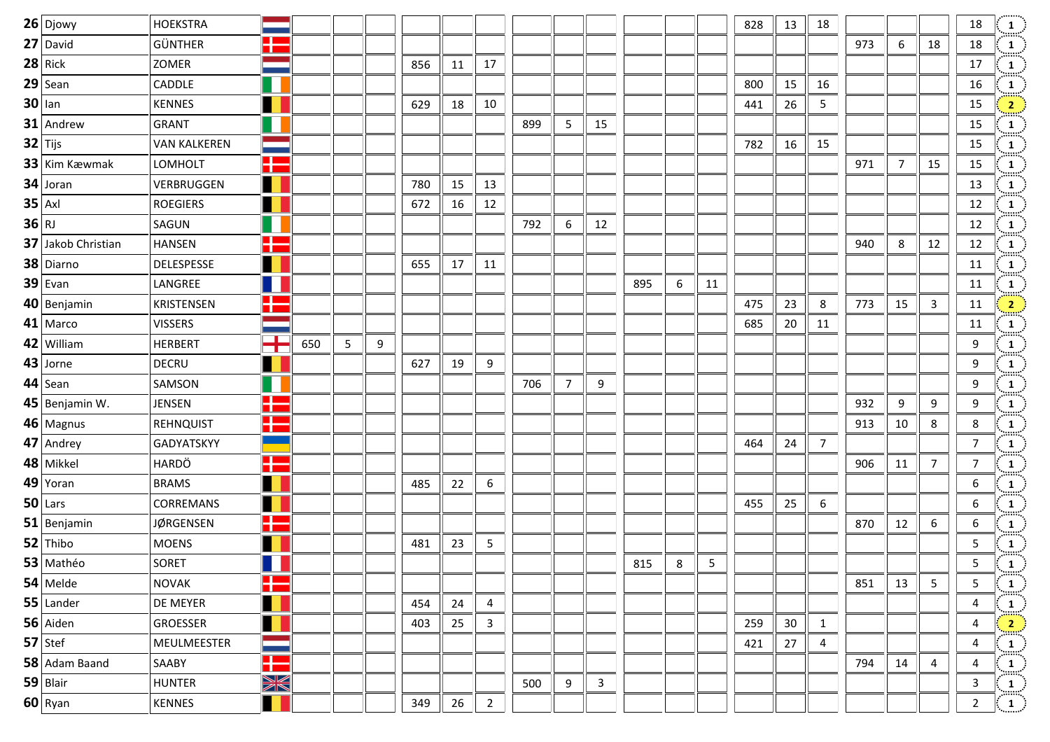| $26$ Djowy         | <b>HOEKSTRA</b>     |                    |     |   |   |     |    |                |     |                |              |     |   |    | 828 | 13 | 18             |     |    |              | 18                      | $\frac{1}{\text{max}}$                          |
|--------------------|---------------------|--------------------|-----|---|---|-----|----|----------------|-----|----------------|--------------|-----|---|----|-----|----|----------------|-----|----|--------------|-------------------------|-------------------------------------------------|
| 27 David           | <b>GÜNTHER</b>      | ¢                  |     |   |   |     |    |                |     |                |              |     |   |    |     |    |                | 973 | 6  | 18           | 18                      | $\mathbf{1}$                                    |
| $28$ Rick          | ZOMER               |                    |     |   |   | 856 | 11 | 17             |     |                |              |     |   |    |     |    |                |     |    |              | 17                      | $\frac{1}{\text{max}}$                          |
| $29$ Sean          | CADDLE              |                    |     |   |   |     |    |                |     |                |              |     |   |    | 800 | 15 | 16             |     |    |              | 16                      | $\mathbf{1}$                                    |
| $30$ lan           | <b>KENNES</b>       |                    |     |   |   | 629 | 18 | 10             |     |                |              |     |   |    | 441 | 26 | 5              |     |    |              | 15                      | $\overline{\mathbf{2}}$                         |
| $31$ Andrew        | <b>GRANT</b>        |                    |     |   |   |     |    |                | 899 | 5              | 15           |     |   |    |     |    |                |     |    |              | 15                      | $\frac{1}{\sin \pi}$                            |
| $32$ Tijs          | <b>VAN KALKEREN</b> |                    |     |   |   |     |    |                |     |                |              |     |   |    | 782 | 16 | 15             |     |    |              | 15                      | $\mathbf{1}$                                    |
| 33 Kim Kæwmak      | <b>LOMHOLT</b>      |                    |     |   |   |     |    |                |     |                |              |     |   |    |     |    |                | 971 | 7  | 15           | 15                      | $\frac{1}{\text{max}}$                          |
| 34 Joran           | VERBRUGGEN          |                    |     |   |   | 780 | 15 | 13             |     |                |              |     |   |    |     |    |                |     |    |              | 13                      | $\frac{1}{2}$                                   |
| $35$ Axl           | <b>ROEGIERS</b>     |                    |     |   |   | 672 | 16 | 12             |     |                |              |     |   |    |     |    |                |     |    |              | 12                      | $\frac{1}{2}$                                   |
| $36$ RJ            | SAGUN               |                    |     |   |   |     |    |                | 792 | 6              | 12           |     |   |    |     |    |                |     |    |              | 12                      | $\frac{1}{\text{max}}$                          |
| 37 Jakob Christian | <b>HANSEN</b>       | Q                  |     |   |   |     |    |                |     |                |              |     |   |    |     |    |                | 940 | 8  | 12           | 12                      | $\frac{1}{\sin \pi}$                            |
| 38 Diarno          | DELESPESSE          |                    |     |   |   | 655 | 17 | 11             |     |                |              |     |   |    |     |    |                |     |    |              | 11                      | $\frac{1}{2}$                                   |
| $39$ Evan          | LANGREE             |                    |     |   |   |     |    |                |     |                |              | 895 | 6 | 11 |     |    |                |     |    |              | 11                      | $\mathbf{1}$                                    |
| 40 Benjamin        | KRISTENSEN          | u                  |     |   |   |     |    |                |     |                |              |     |   |    | 475 | 23 | 8              | 773 | 15 | $\mathbf{3}$ | 11                      | $\frac{2}{\sqrt{2}}$                            |
| 41 Marco           | <b>VISSERS</b>      |                    |     |   |   |     |    |                |     |                |              |     |   |    | 685 | 20 | 11             |     |    |              | 11                      | $\frac{1}{2}$                                   |
| 42 William         | <b>HERBERT</b>      | and the state<br>T | 650 | 5 | 9 |     |    |                |     |                |              |     |   |    |     |    |                |     |    |              | 9                       | $\frac{1}{2}$                                   |
| 43 Jorne           | DECRU               |                    |     |   |   | 627 | 19 | 9              |     |                |              |     |   |    |     |    |                |     |    |              | 9                       | $\frac{1}{\sin \theta}$                         |
| $44$ Sean          | SAMSON              |                    |     |   |   |     |    |                | 706 | $\overline{7}$ | 9            |     |   |    |     |    |                |     |    |              | 9                       |                                                 |
| 45 Benjamin W.     | JENSEN              | R                  |     |   |   |     |    |                |     |                |              |     |   |    |     |    |                | 932 | 9  | 9            | 9                       | $\frac{1}{2}$                                   |
| 46 Magnus          | REHNQUIST           | H                  |     |   |   |     |    |                |     |                |              |     |   |    |     |    |                | 913 | 10 | 8            | 8                       | $\frac{1}{\cdots}$                              |
| 47 Andrey          | GADYATSKYY          |                    |     |   |   |     |    |                |     |                |              |     |   |    | 464 | 24 | $\overline{7}$ |     |    |              | $\overline{7}$          |                                                 |
| 48 Mikkel          | HARDÖ               | Ŧ                  |     |   |   |     |    |                |     |                |              |     |   |    |     |    |                | 906 | 11 | 7            | $\overline{7}$          | $\frac{1}{2}$                                   |
| $49$ Yoran         | <b>BRAMS</b>        |                    |     |   |   | 485 | 22 | 6              |     |                |              |     |   |    |     |    |                |     |    |              | 6                       | $\frac{1}{\cdots}$                              |
| $50$ Lars          | CORREMANS           |                    |     |   |   |     |    |                |     |                |              |     |   |    | 455 | 25 | 6              |     |    |              | 6                       | $\begin{pmatrix} 1 \ \cdots \end{pmatrix}$      |
| 51 Benjamin        | <b>JØRGENSEN</b>    |                    |     |   |   |     |    |                |     |                |              |     |   |    |     |    |                | 870 | 12 | 6            | 6                       | $\frac{1}{2}$                                   |
| 52 Thibo           | <b>MOENS</b>        |                    |     |   |   | 481 | 23 | 5              |     |                |              |     |   |    |     |    |                |     |    |              | 5                       |                                                 |
| 53 Mathéo          | SORET               |                    |     |   |   |     |    |                |     |                |              | 815 | 8 | 5  |     |    |                |     |    |              | 5                       | $\begin{pmatrix} 1 \ 1 \end{pmatrix}$           |
| 54 Melde           | <b>NOVAK</b>        | X                  |     |   |   |     |    |                |     |                |              |     |   |    |     |    |                | 851 | 13 | 5            | 5                       | $\begin{pmatrix} 1 \\ 1 \end{pmatrix}$          |
| $55$ Lander        | DE MEYER            |                    |     |   |   | 454 | 24 | 4              |     |                |              |     |   |    |     |    |                |     |    |              | $\overline{\mathbf{4}}$ | $\frac{1}{\min_{i}}$                            |
| 56 Aiden           | GROESSER            | H                  |     |   |   | 403 | 25 | $\mathbf{3}$   |     |                |              |     |   |    | 259 | 30 | $\mathbf{1}$   |     |    |              | $\overline{\mathbf{4}}$ | $\left  \frac{2}{2} \right $                    |
| $57$ Stef          | MEULMEESTER         |                    |     |   |   |     |    |                |     |                |              |     |   |    | 421 | 27 | 4              |     |    |              | 4                       | $\frac{1}{\sqrt{2}}$                            |
| 58 Adam Baand      | SAABY               | H                  |     |   |   |     |    |                |     |                |              |     |   |    |     |    |                | 794 | 14 | 4            | 4                       | $\frac{1}{\sin \theta}$                         |
| 59 Blair           | <b>HUNTER</b>       | XK                 |     |   |   |     |    |                | 500 | 9              | $\mathbf{3}$ |     |   |    |     |    |                |     |    |              | $\mathbf{3}$            |                                                 |
| $60$ Ryan          | KENNES              |                    |     |   |   | 349 | 26 | $\overline{2}$ |     |                |              |     |   |    |     |    |                |     |    |              | $\overline{2}$          | $\begin{pmatrix} 1 \ \frac{1}{2} \end{pmatrix}$ |
|                    |                     |                    |     |   |   |     |    |                |     |                |              |     |   |    |     |    |                |     |    |              |                         |                                                 |